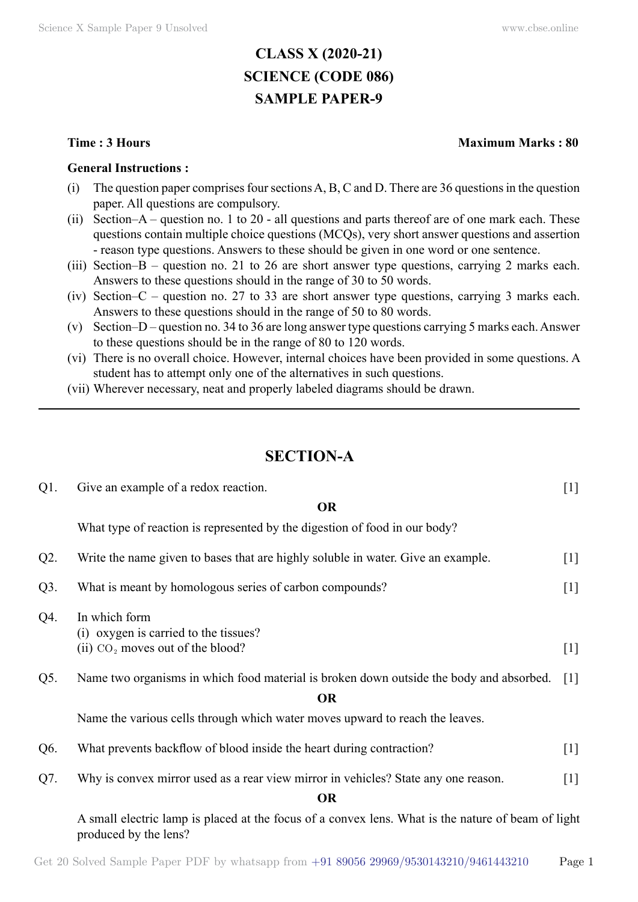# **CLASS X (2020-21) SCIENCE (CODE 086) SAMPLE PAPER-9**

#### **General Instructions :**

- (i) The question paper comprises four sections A, B, C and D. There are 36 questions in the question paper. All questions are compulsory.
- (ii) Section–A question no. 1 to 20 all questions and parts thereof are of one mark each. These questions contain multiple choice questions (MCQs), very short answer questions and assertion - reason type questions. Answers to these should be given in one word or one sentence.
- (iii) Section–B question no. 21 to 26 are short answer type questions, carrying 2 marks each. Answers to these questions should in the range of 30 to 50 words.
- (iv) Section–C question no. 27 to 33 are short answer type questions, carrying 3 marks each. Answers to these questions should in the range of 50 to 80 words.
- (v) Section–D question no. 34 to 36 are long answer type questions carrying 5 marks each. Answer to these questions should be in the range of 80 to 120 words.
- (vi) There is no overall choice. However, internal choices have been provided in some questions. A student has to attempt only one of the alternatives in such questions.
- (vii) Wherever necessary, neat and properly labeled diagrams should be drawn.

# **Section-A**

| Q1.    | Give an example of a redox reaction.                                                                                        | $[1]$             |
|--------|-----------------------------------------------------------------------------------------------------------------------------|-------------------|
|        | <b>OR</b>                                                                                                                   |                   |
|        | What type of reaction is represented by the digestion of food in our body?                                                  |                   |
| $Q2$ . | Write the name given to bases that are highly soluble in water. Give an example.                                            | $[1]$             |
| Q3.    | What is meant by homologous series of carbon compounds?                                                                     | $[1]$             |
| Q4.    | In which form<br>(i) oxygen is carried to the tissues?<br>(ii) $CO2$ moves out of the blood?                                | $[1]$             |
|        |                                                                                                                             |                   |
| Q5.    | Name two organisms in which food material is broken down outside the body and absorbed.                                     | $\lceil 1 \rceil$ |
|        | <b>OR</b>                                                                                                                   |                   |
|        | Name the various cells through which water moves upward to reach the leaves.                                                |                   |
| Q6.    | What prevents backflow of blood inside the heart during contraction?                                                        | $[1]$             |
| Q7.    | Why is convex mirror used as a rear view mirror in vehicles? State any one reason.                                          | $[1]$             |
|        | <b>OR</b>                                                                                                                   |                   |
|        | A small electric lamp is placed at the focus of a convex lens. What is the nature of beam of light<br>produced by the lens? |                   |

#### **Time : 3 Hours Maximum Marks : 80**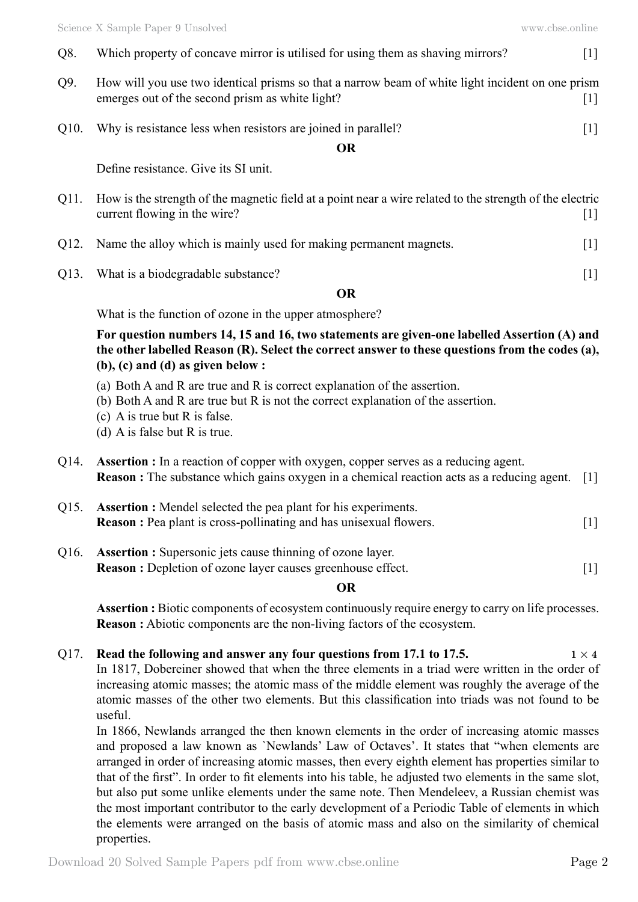| Q8.               | Which property of concave mirror is utilised for using them as shaving mirrors?                                                                     | $\lceil 1 \rceil$                                                                                                                                                              |
|-------------------|-----------------------------------------------------------------------------------------------------------------------------------------------------|--------------------------------------------------------------------------------------------------------------------------------------------------------------------------------|
| Q9.               | How will you use two identical prisms so that a narrow beam of white light incident on one prism<br>emerges out of the second prism as white light? | $\lfloor 1 \rfloor$                                                                                                                                                            |
| O <sub>10</sub> . | Why is resistance less when resistors are joined in parallel?                                                                                       | $\lfloor 1 \rfloor$                                                                                                                                                            |
|                   | <b>OR</b>                                                                                                                                           |                                                                                                                                                                                |
|                   | Define resistance. Give its SI unit.                                                                                                                |                                                                                                                                                                                |
| Q11.              | How is the strength of the magnetic field at a point near a wire related to the strength of the electric<br>current flowing in the wire?            | $[1] % \includegraphics[width=0.9\columnwidth]{figures/fig_10.pdf} \caption{The figure shows the number of times of the estimators in the left and right.} \label{fig:time} %$ |
| Q12.              | Name the alloy which is mainly used for making permanent magnets.                                                                                   | 1                                                                                                                                                                              |
| Q13.              | What is a biodegradable substance?                                                                                                                  | $[1]$                                                                                                                                                                          |

#### **O**

What is the function of ozone in the upper atmosphere?

**For question numbers 14, 15 and 16, two statements are given-one labelled Assertion (A) and the other labelled Reason (R). Select the correct answer to these questions from the codes (a), (b), (c) and (d) as given below :**

- (a) Both A and R are true and R is correct explanation of the assertion.
- (b) Both A and R are true but R is not the correct explanation of the assertion.
- (c) A is true but R is false.
- (d) A is false but R is true.
- Q14. **Assertion :** In a reaction of copper with oxygen, copper serves as a reducing agent. **Reason :** The substance which gains oxygen in a chemical reaction acts as a reducing agent. [1]
- Q15. **Assertion :** Mendel selected the pea plant for his experiments. **Reason :** Pea plant is cross-pollinating and has unisexual flowers. [1]
- Q16. **Assertion :** Supersonic jets cause thinning of ozone layer. **Reason :** Depletion of ozone layer causes greenhouse effect. [1]

#### **O**

**Assertion :** Biotic components of ecosystem continuously require energy to carry on life processes. **Reason :** Abiotic components are the non-living factors of the ecosystem.

#### Q17. **Read the following and answer any four questions from 17.1 to 17.5.**  $1 \times 4$

In 1817, Dobereiner showed that when the three elements in a triad were written in the order of increasing atomic masses; the atomic mass of the middle element was roughly the average of the atomic masses of the other two elements. But this classification into triads was not found to be useful.

In 1866, Newlands arranged the then known elements in the order of increasing atomic masses and proposed a law known as `Newlands' Law of Octaves'. It states that "when elements are arranged in order of increasing atomic masses, then every eighth element has properties similar to that of the first". In order to fit elements into his table, he adjusted two elements in the same slot, but also put some unlike elements under the same note. Then Mendeleev, a Russian chemist was the most important contributor to the early development of a Periodic Table of elements in which the elements were arranged on the basis of atomic mass and also on the similarity of chemical properties.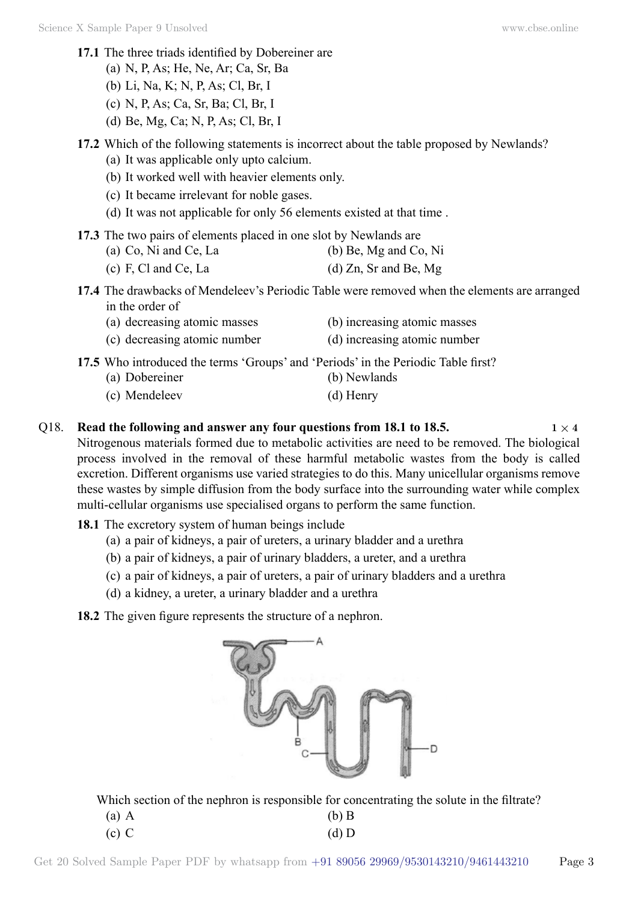- **17.1** The three triads identified by Dobereiner are
	- (a) N, P, As; He, Ne, Ar; Ca, Sr, Ba
	- (b) Li, Na, K; N, P, As; Cl, Br, I
	- (c) N, P, As; Ca, Sr, Ba; Cl, Br, I
	- (d) Be, Mg, Ca; N, P, As; Cl, Br, I

### **17.2** Which of the following statements is incorrect about the table proposed by Newlands?

- (a) It was applicable only upto calcium.
- (b) It worked well with heavier elements only.
- (c) It became irrelevant for noble gases.
- (d) It was not applicable for only 56 elements existed at that time .
- **17.3** The two pairs of elements placed in one slot by Newlands are

| (a) Co, Ni and Ce, La | (b) Be, Mg and Co, Ni |
|-----------------------|-----------------------|
|                       |                       |

(c) F, Cl and Ce, La  $(d)$  Zn, Sr and Be, Mg

**17.4** The drawbacks of Mendeleev's Periodic Table were removed when the elements are arranged in the order of

- (a) decreasing atomic masses (b) increasing atomic masses
- (c) decreasing atomic number (d) increasing atomic number
- **17.5** Who introduced the terms 'Groups' and 'Periods' in the Periodic Table first?
	- (a) Dobereiner (b) Newlands
	- (c) Mendeleev (d) Henry
- -

#### Q18. **Read the following and answer any four questions from 18.1 to 18.5.**  $1 \times 4$ Nitrogenous materials formed due to metabolic activities are need to be removed. The biological process involved in the removal of these harmful metabolic wastes from the body is called excretion. Different organisms use varied strategies to do this. Many unicellular organisms remove these wastes by simple diffusion from the body surface into the surrounding water while complex multi-cellular organisms use specialised organs to perform the same function.

- **18.1** The excretory system of human beings include
	- (a) a pair of kidneys, a pair of ureters, a urinary bladder and a urethra
	- (b) a pair of kidneys, a pair of urinary bladders, a ureter, and a urethra
	- (c) a pair of kidneys, a pair of ureters, a pair of urinary bladders and a urethra
	- (d) a kidney, a ureter, a urinary bladder and a urethra
- **18.2** The given figure represents the structure of a nephron.



Which section of the nephron is responsible for concentrating the solute in the filtrate?

| $(a)$ A | $(b)$ B |
|---------|---------|
| $(c)$ C | $(d)$ D |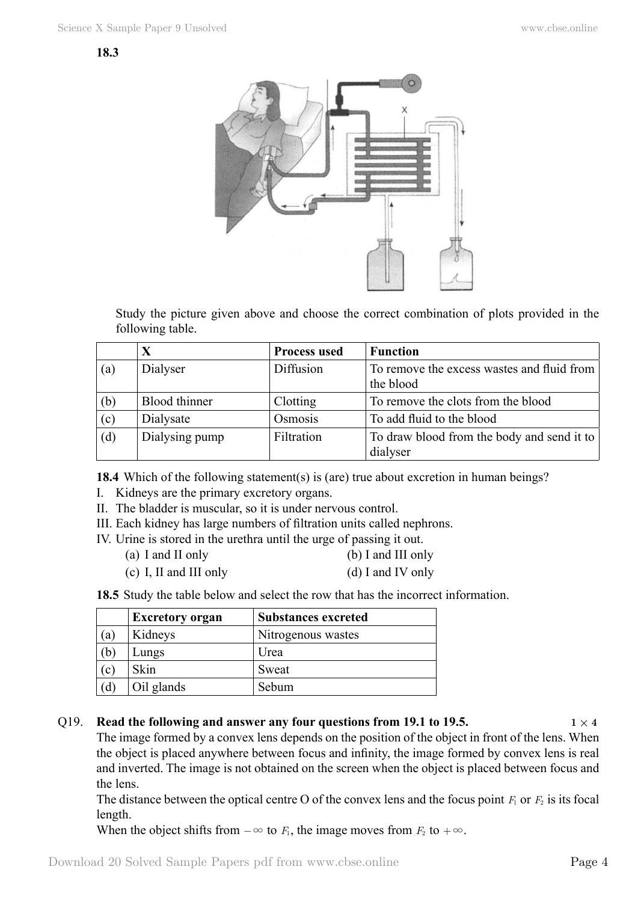

Study the picture given above and choose the correct combination of plots provided in the following table.

|     | X              | <b>Process used</b> | <b>Function</b>                                         |
|-----|----------------|---------------------|---------------------------------------------------------|
| (a) | Dialyser       | Diffusion           | To remove the excess wastes and fluid from<br>the blood |
|     |                |                     |                                                         |
| (b) | Blood thinner  | Clotting            | To remove the clots from the blood                      |
| (c) | Dialysate      | Osmosis             | To add fluid to the blood                               |
| (d) | Dialysing pump | Filtration          | To draw blood from the body and send it to              |
|     |                |                     | dialyser                                                |

**18.4** Which of the following statement(s) is (are) true about excretion in human beings?

- I. Kidneys are the primary excretory organs.
- II. The bladder is muscular, so it is under nervous control.
- III. Each kidney has large numbers of filtration units called nephrons.
- IV. Urine is stored in the urethra until the urge of passing it out.
	- (a) I and II only (b) I and III only
	- (c) I, II and III only (d) I and IV only

**18.5** Study the table below and select the row that has the incorrect information.

|     | <b>Excretory organ</b> | <b>Substances excreted</b> |
|-----|------------------------|----------------------------|
| (a) | Kidneys                | Nitrogenous wastes         |
| (b) | Lungs                  | Urea                       |
| (c) | Skin                   | Sweat                      |
| (ď  | Oil glands             | Sebum                      |

### Q19. **Read the following and answer any four questions from 19.1 to 19.5.**  $1 \times 4$

The image formed by a convex lens depends on the position of the object in front of the lens. When the object is placed anywhere between focus and infinity, the image formed by convex lens is real and inverted. The image is not obtained on the screen when the object is placed between focus and the lens.

The distance between the optical centre O of the convex lens and the focus point  $F_1$  or  $F_2$  is its focal length.

When the object shifts from  $-\infty$  to *F*<sub>1</sub>, the image moves from *F*<sub>2</sub> to  $+\infty$ .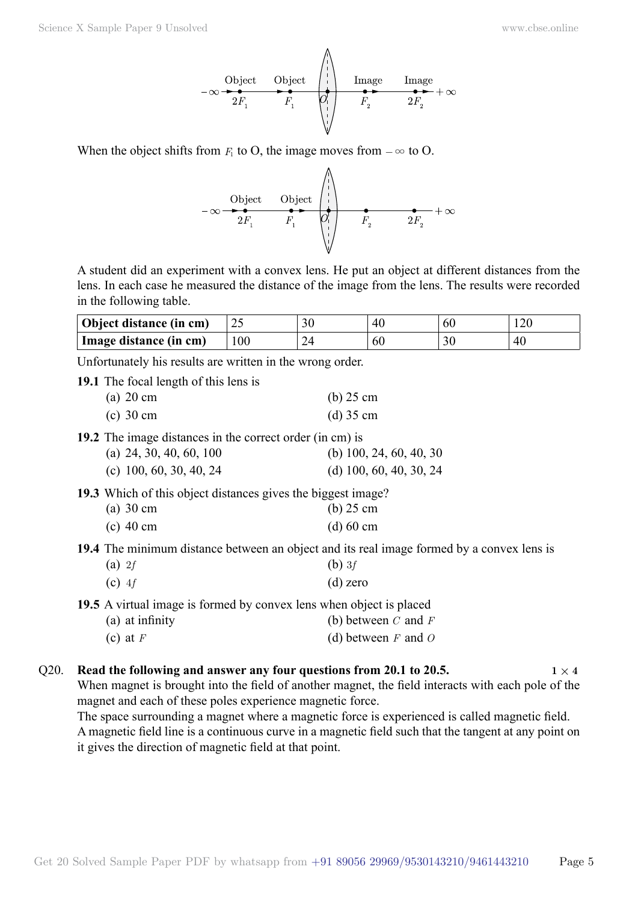

When the object shifts from  $F_1$  to O, the image moves from  $-\infty$  to O.

A student did an experiment with a convex lens. He put an object at different distances from the lens. In each case he measured the distance of the image from the lens. The results were recorded in the following table.

| Object distance (in cm) | ے ک | 30 | 40  | ou |     |
|-------------------------|-----|----|-----|----|-----|
| Image distance (in cm)  | 100 |    | -60 |    | -46 |

Unfortunately his results are written in the wrong order.

**19.1** The focal length of this lens is

| (a) $20 \text{ cm}$ | $(b)$ 25 cm |
|---------------------|-------------|
| (c) $30 \text{ cm}$ | $(d)$ 35 cm |

**19.2** The image distances in the correct order (in cm) is

| (a) 24, 30, 40, 60, 100 | (b) 100, 24, 60, 40, 30 |
|-------------------------|-------------------------|
| (c) 100, 60, 30, 40, 24 | (d) 100, 60, 40, 30, 24 |

**19.3** Which of this object distances gives the biggest image?

| (a) $30 \text{ cm}$ | $(b)$ 25 cm |
|---------------------|-------------|
| $(c)$ 40 cm         | $(d) 60$ cm |

**19.4** The minimum distance between an object and its real image formed by a convex lens is

| (a) 2f   | (b) $3f$   |
|----------|------------|
| $(c)$ 4f | $(d)$ zero |

**19.5** A virtual image is formed by convex lens when object is placed

| (a) at infinity | (b) between $C$ and $F$ |
|-----------------|-------------------------|
|-----------------|-------------------------|

# (c) at  $F$  (d) between  $F$  and  $O$

#### Q20. **Read the following and answer any four questions from 20.1 to 20.5.**  $1 \times 4$ When magnet is brought into the field of another magnet, the field interacts with each pole of the

magnet and each of these poles experience magnetic force.

The space surrounding a magnet where a magnetic force is experienced is called magnetic field. A magnetic field line is a continuous curve in a magnetic field such that the tangent at any point on it gives the direction of magnetic field at that point.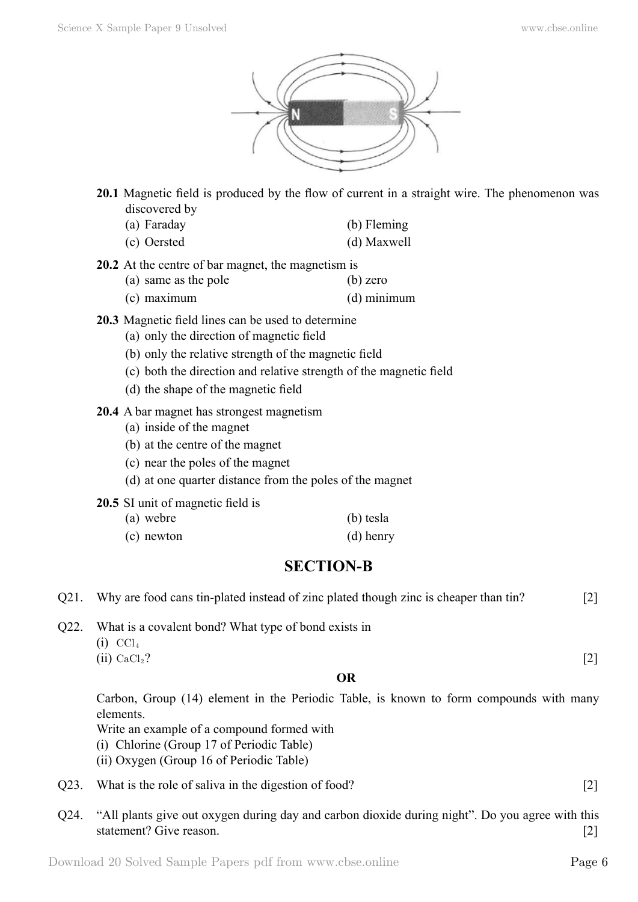

- **20.1** Magnetic field is produced by the flow of current in a straight wire. The phenomenon was discovered by
	- (a) Faraday (b) Fleming
	- (c) Oersted (d) Maxwell
- **20.2** At the centre of bar magnet, the magnetism is
	- (a) same as the pole (b) zero
	- (c) maximum (d) minimum
- **20.3** Magnetic field lines can be used to determine
	- (a) only the direction of magnetic field
	- (b) only the relative strength of the magnetic field
	- (c) both the direction and relative strength of the magnetic field
	- (d) the shape of the magnetic field
- **20.4** A bar magnet has strongest magnetism
	- (a) inside of the magnet
	- (b) at the centre of the magnet
	- (c) near the poles of the magnet
	- (d) at one quarter distance from the poles of the magnet
- **20.5** SI unit of magnetic field is
	- (a) webre (b) tesla (c) newton (d) henry

# **SECTION-B**

| Q21. | Why are food cans tin-plated instead of zinc plated though zinc is cheaper than tin?                                                                                                                                                       | $[2]$               |
|------|--------------------------------------------------------------------------------------------------------------------------------------------------------------------------------------------------------------------------------------------|---------------------|
| Q22. | What is a covalent bond? What type of bond exists in<br>$(i)$ CCl <sub>4</sub>                                                                                                                                                             |                     |
|      | $(ii)$ CaCl <sub>2</sub> ?                                                                                                                                                                                                                 | $[2]$               |
|      | <b>OR</b>                                                                                                                                                                                                                                  |                     |
|      | Carbon, Group (14) element in the Periodic Table, is known to form compounds with many<br>elements.<br>Write an example of a compound formed with<br>(i) Chlorine (Group 17 of Periodic Table)<br>(ii) Oxygen (Group 16 of Periodic Table) |                     |
| Q23. | What is the role of saliva in the digestion of food?                                                                                                                                                                                       | $[2]$               |
| Q24. | "All plants give out oxygen during day and carbon dioxide during night". Do you agree with this<br>statement? Give reason.                                                                                                                 | $\lfloor 2 \rfloor$ |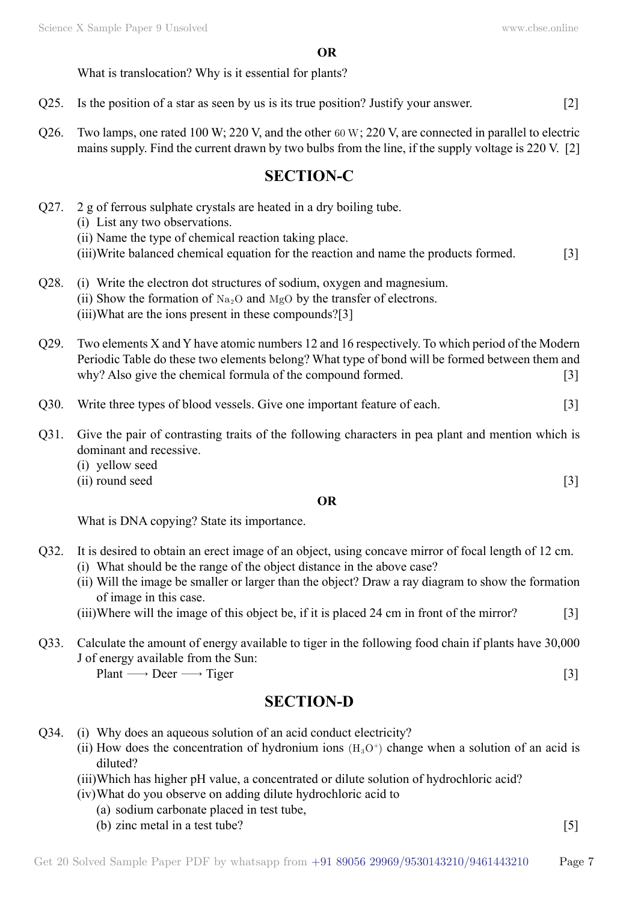What is translocation? Why is it essential for plants?

- Q25. Is the position of a star as seen by us is its true position? Justify your answer. [2]
- Q26. Two lamps, one rated 100 W; 220 V, and the other 60 W; 220 V, are connected in parallel to electric mains supply. Find the current drawn by two bulbs from the line, if the supply voltage is 220 V. [2]

# **SECTION-C**

- Q27. 2 g of ferrous sulphate crystals are heated in a dry boiling tube. (i) List any two observations. (ii) Name the type of chemical reaction taking place.
	- (iii)Write balanced chemical equation for the reaction and name the products formed. [3]
- Q28. (i) Write the electron dot structures of sodium, oxygen and magnesium. (ii) Show the formation of  $Na<sub>2</sub>O$  and  $MgO$  by the transfer of electrons. (iii)What are the ions present in these compounds?[3]
- Q29. Two elements X and Y have atomic numbers 12 and 16 respectively. To which period of the Modern Periodic Table do these two elements belong? What type of bond will be formed between them and why? Also give the chemical formula of the compound formed. [3]
- Q30. Write three types of blood vessels. Give one important feature of each. [3]
- Q31. Give the pair of contrasting traits of the following characters in pea plant and mention which is dominant and recessive.
	- (i) yellow seed
	- $(ii)$  round seed [3]

#### **O**

What is DNA copying? State its importance.

- Q32. It is desired to obtain an erect image of an object, using concave mirror of focal length of 12 cm.
	- (i) What should be the range of the object distance in the above case?
	- (ii) Will the image be smaller or larger than the object? Draw a ray diagram to show the formation of image in this case.
	- (iii)Where will the image of this object be, if it is placed 24 cm in front of the mirror? [3]
- Q33. Calculate the amount of energy available to tiger in the following food chain if plants have 30,000 J of energy available from the Sun:

 $Plant \longrightarrow Deer \longrightarrow Tiger$  [3]

# **SECTION-D**

- Q34. (i) Why does an aqueous solution of an acid conduct electricity?
	- (ii) How does the concentration of hydronium ions  $(H<sub>3</sub>O<sup>+</sup>)$  change when a solution of an acid is diluted?
	- (iii)Which has higher pH value, a concentrated or dilute solution of hydrochloric acid?
	- (iv)What do you observe on adding dilute hydrochloric acid to
		- (a) sodium carbonate placed in test tube,
		- (b) zinc metal in a test tube?  $[5]$